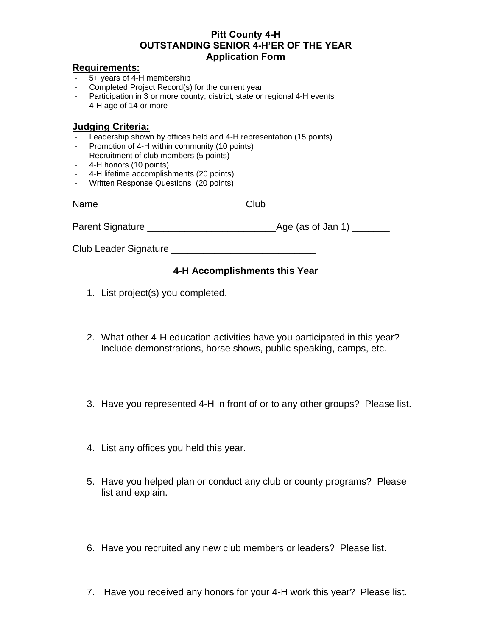### **Pitt County 4-H OUTSTANDING SENIOR 4-H'ER OF THE YEAR Application Form**

#### **Requirements:**

- 5+ years of 4-H membership
- Completed Project Record(s) for the current year
- Participation in 3 or more county, district, state or regional 4-H events
- 4-H age of 14 or more

### **Judging Criteria:**

- Leadership shown by offices held and 4-H representation (15 points)
- Promotion of 4-H within community (10 points)
- Recruitment of club members (5 points)
- 4-H honors (10 points)
- 4-H lifetime accomplishments (20 points)
- Written Response Questions (20 points)

| Name                    | Club                        |
|-------------------------|-----------------------------|
| <b>Parent Signature</b> | $_{\sim}$ Age (as of Jan 1) |
| Club Leader Signature   |                             |

## **4-H Accomplishments this Year**

- 1. List project(s) you completed.
- 2. What other 4-H education activities have you participated in this year? Include demonstrations, horse shows, public speaking, camps, etc.
- 3. Have you represented 4-H in front of or to any other groups? Please list.
- 4. List any offices you held this year.
- 5. Have you helped plan or conduct any club or county programs? Please list and explain.
- 6. Have you recruited any new club members or leaders? Please list.
- 7. Have you received any honors for your 4-H work this year? Please list.